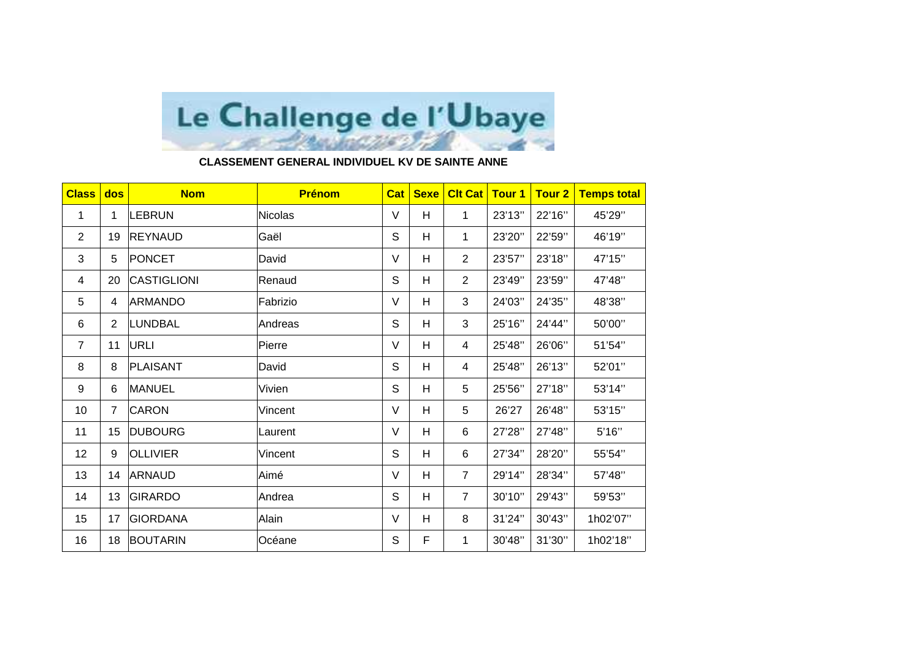

## **CLASSEMENT GENERAL INDIVIDUEL KV DE SAINTE ANNE**

| <b>Class</b>   | dos            | <b>Nom</b>         | <b>Prénom</b>  | <b>Cat</b>  | <b>Sexe</b> | <b>Clt Cat</b> | <b>Tour 1</b> | <b>Tour 2</b> | <b>Temps total</b> |
|----------------|----------------|--------------------|----------------|-------------|-------------|----------------|---------------|---------------|--------------------|
| $\mathbf{1}$   | 1              | <b>LEBRUN</b>      | <b>Nicolas</b> | $\vee$      | H           | $\mathbf{1}$   | 23'13"        | 22'16"        | 45'29"             |
| $\overline{2}$ | 19             | <b>REYNAUD</b>     | Gaël           | $\mathsf S$ | H           | 1              | 23'20"        | 22'59"        | 46'19"             |
| 3              | 5              | PONCET             | David          | V           | Н           | $\overline{2}$ | 23'57"        | 23'18"        | 47'15"             |
| 4              | 20             | <b>CASTIGLIONI</b> | Renaud         | S           | H           | $\overline{2}$ | 23'49"        | 23'59"        | 47'48"             |
| 5              | 4              | <b>ARMANDO</b>     | Fabrizio       | V           | H           | 3              | 24'03"        | 24'35"        | 48'38"             |
| 6              | $\overline{2}$ | <b>LUNDBAL</b>     | Andreas        | $\mathsf S$ | H           | 3              | 25'16"        | 24'44"        | 50'00"             |
| $\overline{7}$ | 11             | URLI               | Pierre         | $\vee$      | H           | 4              | 25'48"        | 26'06"        | 51'54"             |
| 8              | 8              | PLAISANT           | David          | $\mathsf S$ | Н           | 4              | 25'48"        | 26'13"        | 52'01"             |
| 9              | 6              | <b>MANUEL</b>      | Vivien         | $\mathsf S$ | H           | 5              | 25'56"        | 27'18"        | 53'14"             |
| 10             | $\overline{7}$ | <b>CARON</b>       | Vincent        | V           | H           | 5              | 26'27         | 26'48"        | 53'15"             |
| 11             | 15             | <b>DUBOURG</b>     | Laurent        | V           | Н           | 6              | 27'28"        | 27'48"        | 5'16''             |
| 12             | 9              | <b>OLLIVIER</b>    | Vincent        | S           | H           | 6              | 27'34"        | 28'20"        | 55'54"             |
| 13             | 14             | <b>ARNAUD</b>      | Aimé           | V           | H           | $\overline{7}$ | 29'14"        | 28'34"        | 57'48"             |
| 14             | 13             | <b>GIRARDO</b>     | Andrea         | $\mathsf S$ | H           | $\overline{7}$ | 30'10"        | 29'43"        | 59'53"             |
| 15             | 17             | <b>GIORDANA</b>    | Alain          | V           | Н           | 8              | 31'24"        | 30'43"        | 1h02'07"           |
| 16             | 18             | <b>BOUTARIN</b>    | Océane         | S           | F           | 1              | 30'48"        | 31'30"        | 1h02'18"           |